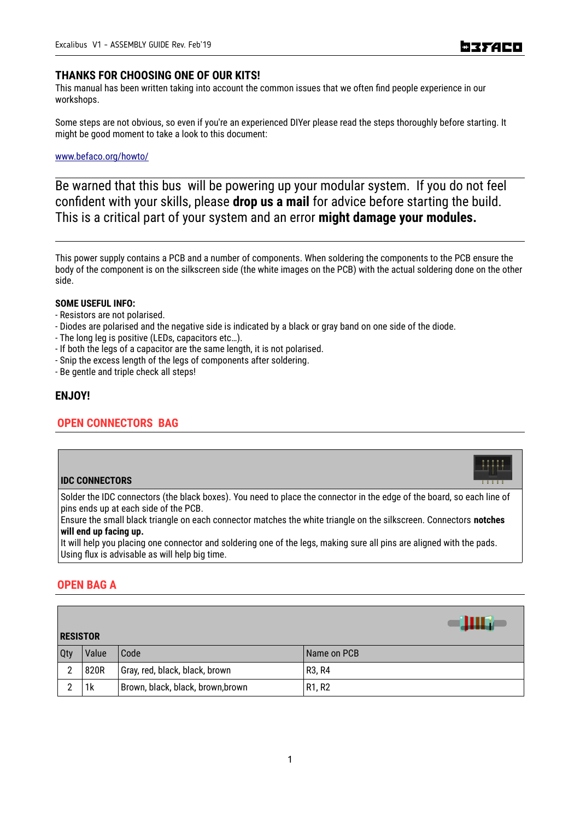# **THANKS FOR CHOOSING ONE OF OUR KITS!**

This manual has been written taking into account the common issues that we often find people experience in our workshops.

Some steps are not obvious, so even if you're an experienced DIYer please read the steps thoroughly before starting. It might be good moment to take a look to this document:

# [www.befaco.org/howto/](http://www.befaco.org/howto/)

Be warned that this bus will be powering up your modular system. If you do not feel confident with your skills, please **drop us a mail** for advice before starting the build. This is a critical part of your system and an error **might damage your modules.**

This power supply contains a PCB and a number of components. When soldering the components to the PCB ensure the body of the component is on the silkscreen side (the white images on the PCB) with the actual soldering done on the other side.

### **SOME USEFUL INFO:**

- Resistors are not polarised.
- Diodes are polarised and the negative side is indicated by a black or gray band on one side of the diode.
- The long leg is positive (LEDs, capacitors etc…).
- If both the legs of a capacitor are the same length, it is not polarised.
- Snip the excess length of the legs of components after soldering.
- Be gentle and triple check all steps!

# **ENJOY!**

# **OPEN CONNECTORS BAG**

# **IDC CONNECTORS**

Solder the IDC connectors (the black boxes). You need to place the connector in the edge of the board, so each line of pins ends up at each side of the PCB.

Ensure the small black triangle on each connector matches the white triangle on the silkscreen. Connectors **notches will end up facing up.**

It will help you placing one connector and soldering one of the legs, making sure all pins are aligned with the pads. Using flux is advisable as will help big time.

# **OPEN BAG A**

| <b>RESISTOR</b> |       |                                   |                                 |  |  |
|-----------------|-------|-----------------------------------|---------------------------------|--|--|
| Qty             | Value | Code                              | Name on PCB                     |  |  |
| 2               | 820R  | Gray, red, black, black, brown    | R <sub>3</sub> , R <sub>4</sub> |  |  |
| C               | 1k    | Brown, black, black, brown, brown | R <sub>1</sub> , R <sub>2</sub> |  |  |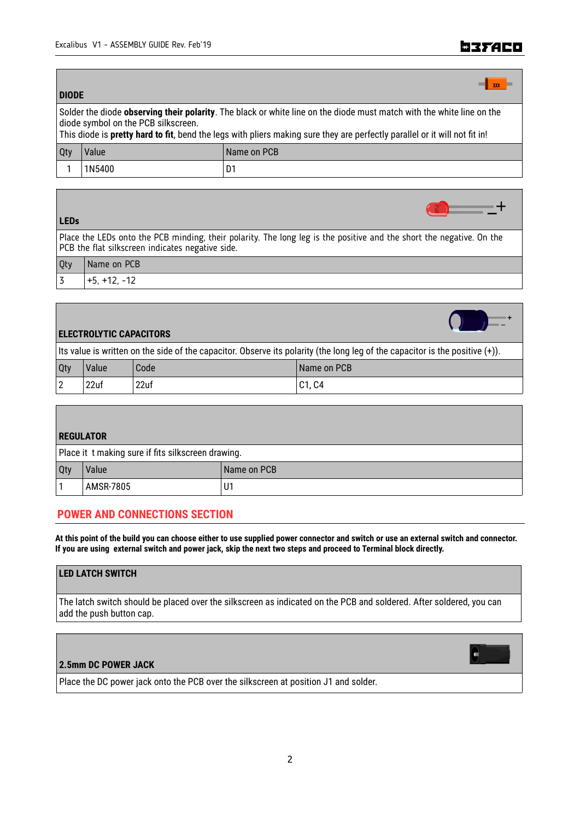# **EISTACO**

 $-$ +

| <b>DIODE</b>                                                                                                                                                 |        |             |  |  |  |
|--------------------------------------------------------------------------------------------------------------------------------------------------------------|--------|-------------|--|--|--|
| Solder the diode observing their polarity. The black or white line on the diode must match with the white line on the<br>diode symbol on the PCB silkscreen. |        |             |  |  |  |
| This diode is pretty hard to fit, bend the legs with pliers making sure they are perfectly parallel or it will not fit in!                                   |        |             |  |  |  |
| Qty                                                                                                                                                          | Value  | Name on PCB |  |  |  |
|                                                                                                                                                              | 1N5400 | D1          |  |  |  |

### **LEDs**

Place the LEDs onto the PCB minding, their polarity. The long leg is the positive and the short the negative. On the PCB the flat silkscreen indicates negative side.

| Qty                     | Name on PCB                                       |
|-------------------------|---------------------------------------------------|
| $\overline{\mathbf{z}}$ | $\sim$<br>-<br>$\overline{\phantom{a}}$<br>$\sim$ |

# **ELECTROLYTIC CAPACITORS**

Its value is written on the side of the capacitor. Observe its polarity (the long leg of the capacitor is the positive (+)).

| Qty         | Value | Code | Name on PCB |
|-------------|-------|------|-------------|
| $\sim$<br>L | 22uf  | 22uf | C1, C4      |

# **REGULATOR**

| Place it t making sure if fits silkscreen drawing. |           |             |  |  |
|----------------------------------------------------|-----------|-------------|--|--|
| <b>Qty</b>                                         | Value     | Name on PCB |  |  |
|                                                    | AMSR-7805 | U1          |  |  |

# **POWER AND CONNECTIONS SECTION**

**At this point of the build you can choose either to use supplied power connector and switch or use an external switch and connector. If you are using external switch and power jack, skip the next two steps and proceed to Terminal block directly.**

# **LED LATCH SWITCH**

The latch switch should be placed over the silkscreen as indicated on the PCB and soldered. After soldered, you can add the push button cap.

# **2.5mm DC POWER JACK**

Place the DC power jack onto the PCB over the silkscreen at position J1 and solder.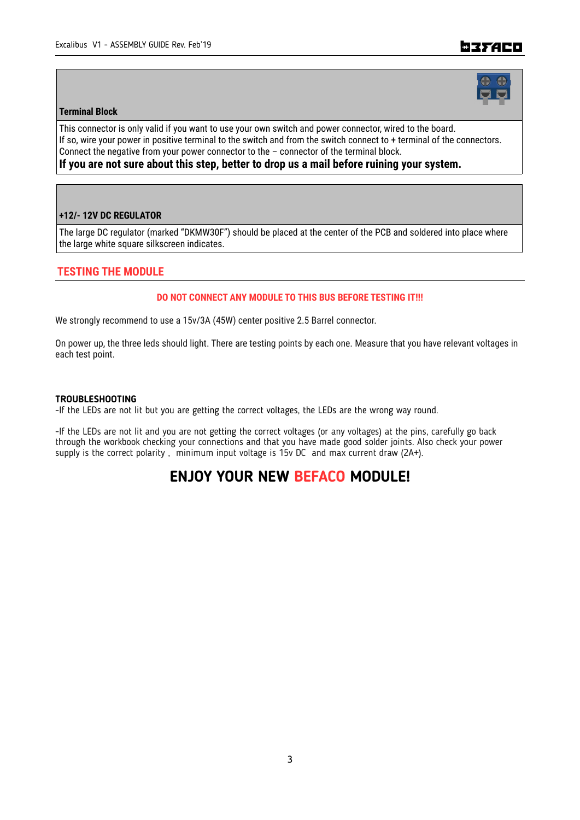# ■37ACロ

### **Terminal Block**

This connector is only valid if you want to use your own switch and power connector, wired to the board. If so, wire your power in positive terminal to the switch and from the switch connect to + terminal of the connectors. Connect the negative from your power connector to the – connector of the terminal block.

**If you are not sure about this step, better to drop us a mail before ruining your system.**

### **+12/- 12V DC REGULATOR**

The large DC regulator (marked "DKMW30F") should be placed at the center of the PCB and soldered into place where the large white square silkscreen indicates.

# **TESTING THE MODULE**

## **DO NOT CONNECT ANY MODULE TO THIS BUS BEFORE TESTING IT!!!**

We strongly recommend to use a 15v/3A (45W) center positive 2.5 Barrel connector.

On power up, the three leds should light. There are testing points by each one. Measure that you have relevant voltages in each test point.

### **TROUBLESHOOTING**

-If the LEDs are not lit but you are getting the correct voltages, the LEDs are the wrong way round.

-If the LEDs are not lit and you are not getting the correct voltages (or any voltages) at the pins, carefully go back through the workbook checking your connections and that you have made good solder joints. Also check your power supply is the correct polarity, minimum input voltage is 15v DC and max current draw (2A+).

# **ENJOY YOUR NEW BEFACO MODULE!**